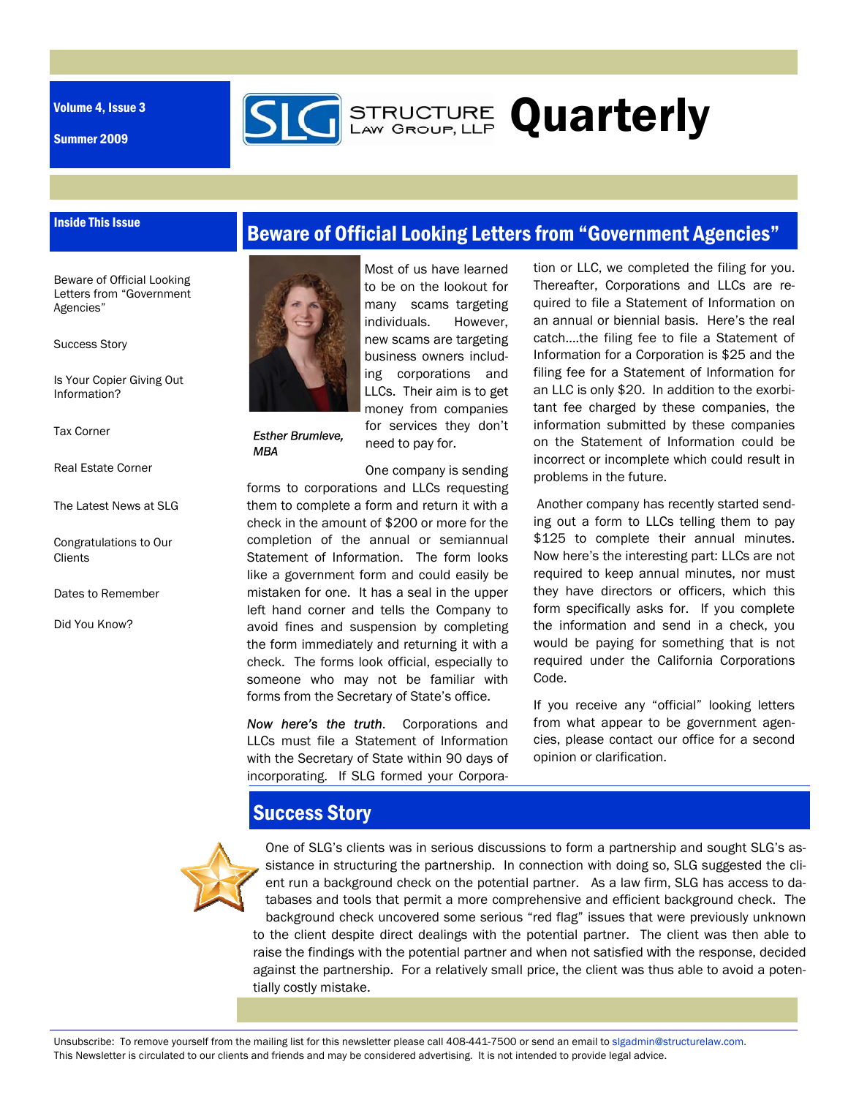Volume 4, Issue 3

Summer 2009

Inside This Issue

# Beware of Official Looking Letters from "Government Agencies"

**STRUCTURE Quarterly** 

Beware of Official Looking Letters from "Government Agencies"

Success Story

Is Your Copier Giving Out Information?

Tax Corner

Real Estate Corner

The Latest News at SLG

Congratulations to Our **Clients** 

Dates to Remember

Did You Know?



*Esther Brumleve, MBA* 

Most of us have learned to be on the lookout for many scams targeting individuals. However, new scams are targeting business owners including corporations and LLCs. Their aim is to get money from companies for services they don't need to pay for.

One company is sending

forms to corporations and LLCs requesting them to complete a form and return it with a check in the amount of \$200 or more for the completion of the annual or semiannual Statement of Information. The form looks like a government form and could easily be mistaken for one. It has a seal in the upper left hand corner and tells the Company to avoid fines and suspension by completing the form immediately and returning it with a check. The forms look official, especially to someone who may not be familiar with forms from the Secretary of State's office.

*Now here's the truth*. Corporations and LLCs must file a Statement of Information with the Secretary of State within 90 days of incorporating. If SLG formed your Corporation or LLC, we completed the filing for you. Thereafter, Corporations and LLCs are required to file a Statement of Information on an annual or biennial basis. Here's the real catch….the filing fee to file a Statement of Information for a Corporation is \$25 and the filing fee for a Statement of Information for an LLC is only \$20. In addition to the exorbitant fee charged by these companies, the information submitted by these companies on the Statement of Information could be incorrect or incomplete which could result in problems in the future.

 Another company has recently started sending out a form to LLCs telling them to pay \$125 to complete their annual minutes. Now here's the interesting part: LLCs are not required to keep annual minutes, nor must they have directors or officers, which this form specifically asks for. If you complete the information and send in a check, you would be paying for something that is not required under the California Corporations Code.

If you receive any "official" looking letters from what appear to be government agencies, please contact our office for a second opinion or clarification.

# Success Story



One of SLG's clients was in serious discussions to form a partnership and sought SLG's assistance in structuring the partnership. In connection with doing so, SLG suggested the client run a background check on the potential partner. As a law firm, SLG has access to databases and tools that permit a more comprehensive and efficient background check. The background check uncovered some serious "red flag" issues that were previously unknown to the client despite direct dealings with the potential partner. The client was then able to raise the findings with the potential partner and when not satisfied with the response, decided against the partnership. For a relatively small price, the client was thus able to avoid a potentially costly mistake.

Unsubscribe: To remove yourself from the mailing list for this newsletter please call 408-441-7500 or send an email to slgadmin@structurelaw.com. This Newsletter is circulated to our clients and friends and may be considered advertising. It is not intended to provide legal advice.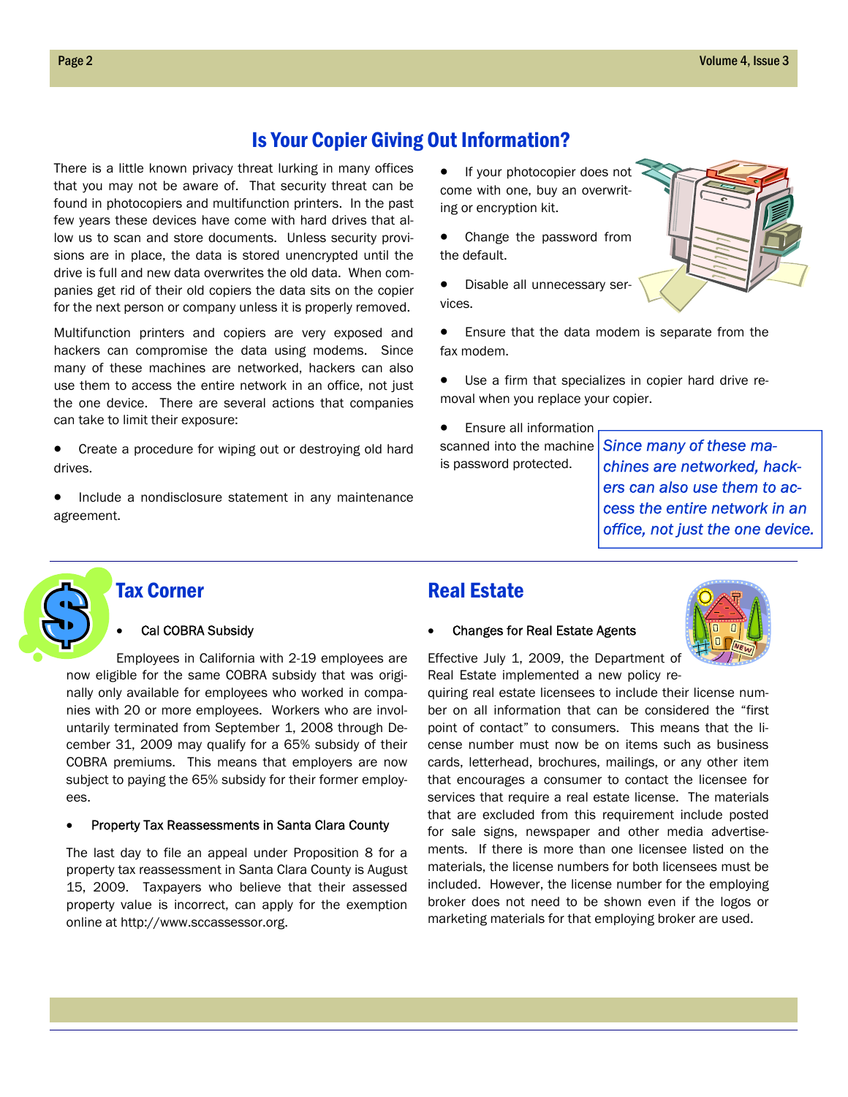## Is Your Copier Giving Out Information?

There is a little known privacy threat lurking in many offices that you may not be aware of. That security threat can be found in photocopiers and multifunction printers. In the past few years these devices have come with hard drives that allow us to scan and store documents. Unless security provisions are in place, the data is stored unencrypted until the drive is full and new data overwrites the old data. When companies get rid of their old copiers the data sits on the copier for the next person or company unless it is properly removed.

Multifunction printers and copiers are very exposed and hackers can compromise the data using modems. Since many of these machines are networked, hackers can also use them to access the entire network in an office, not just the one device. There are several actions that companies can take to limit their exposure:

• Create a procedure for wiping out or destroying old hard drives.

• Include a nondisclosure statement in any maintenance agreement.

If your photocopier does not come with one, buy an overwriting or encryption kit.

• Change the password from the default.



• Disable all unnecessary services.

• Ensure that the data modem is separate from the fax modem.

- Use a firm that specializes in copier hard drive removal when you replace your copier.
- Ensure all information

is password protected.

scanned into the machine *Since many of these machines are networked, hackers can also use them to access the entire network in an office, not just the one device.* 



#### Tax Corner

#### Cal COBRA Subsidy

Employees in California with 2-19 employees are now eligible for the same COBRA subsidy that was originally only available for employees who worked in companies with 20 or more employees. Workers who are involuntarily terminated from September 1, 2008 through December 31, 2009 may qualify for a 65% subsidy of their COBRA premiums. This means that employers are now subject to paying the 65% subsidy for their former employees.

#### • Property Tax Reassessments in Santa Clara County

The last day to file an appeal under Proposition 8 for a property tax reassessment in Santa Clara County is August 15, 2009. Taxpayers who believe that their assessed property value is incorrect, can apply for the exemption online at http://www.sccassessor.org.

## Real Estate

#### • Changes for Real Estate Agents



Effective July 1, 2009, the Department of Real Estate implemented a new policy re-

quiring real estate licensees to include their license number on all information that can be considered the "first point of contact" to consumers. This means that the license number must now be on items such as business cards, letterhead, brochures, mailings, or any other item that encourages a consumer to contact the licensee for services that require a real estate license. The materials that are excluded from this requirement include posted for sale signs, newspaper and other media advertisements. If there is more than one licensee listed on the materials, the license numbers for both licensees must be included. However, the license number for the employing broker does not need to be shown even if the logos or marketing materials for that employing broker are used.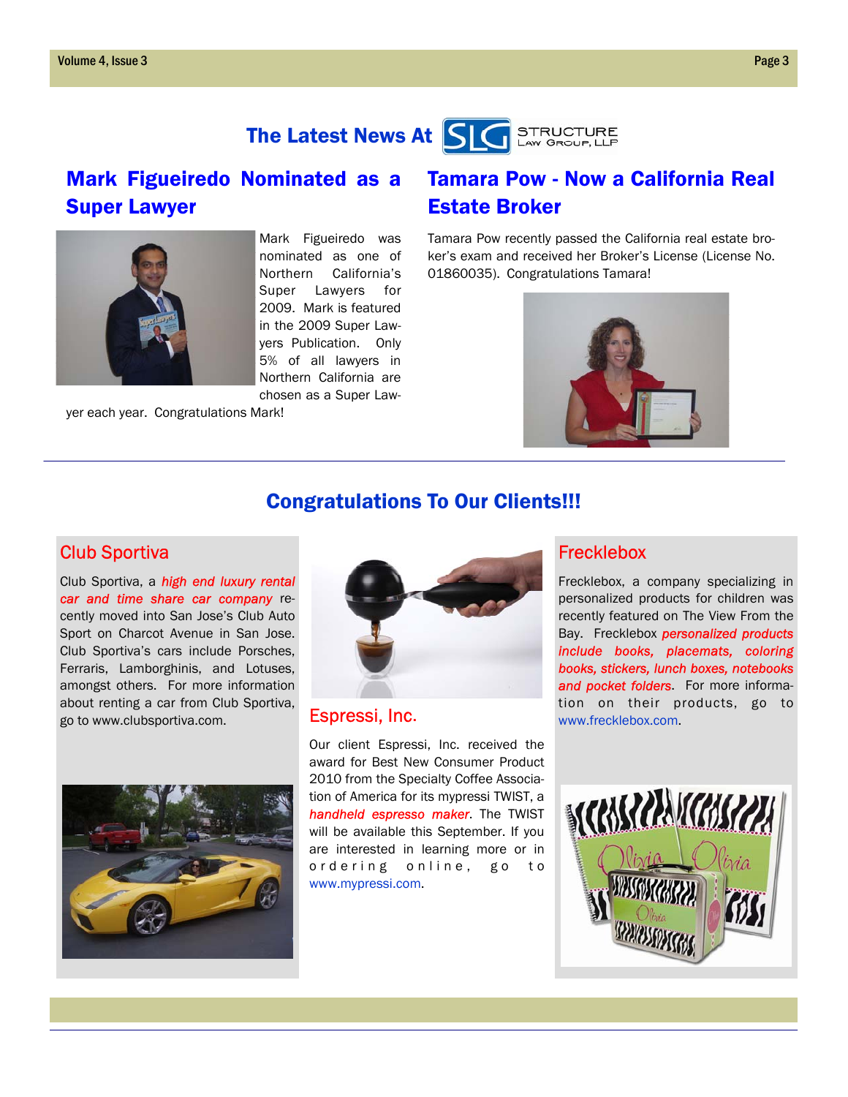#### Volume 4, Issue 3 Page 3



# Mark Figueiredo Nominated as a Super Lawyer



Mark Figueiredo was nominated as one of Northern California's Super Lawyers for 2009. Mark is featured in the 2009 Super Lawyers Publication. Only 5% of all lawyers in Northern California are chosen as a Super Law-

yer each year. Congratulations Mark!

# Tamara Pow - Now a California Real Estate Broker

Tamara Pow recently passed the California real estate broker's exam and received her Broker's License (License No. 01860035). Congratulations Tamara!



# Congratulations To Our Clients!!!

## Club Sportiva

Club Sportiva, a *high end luxury rental car and time share car company* recently moved into San Jose's Club Auto Sport on Charcot Avenue in San Jose. Club Sportiva's cars include Porsches, Ferraris, Lamborghinis, and Lotuses, amongst others. For more information about renting a car from Club Sportiva, go to www.clubsportiva.com.





Our client Espressi, Inc. received the award for Best New Consumer Product 2010 from the Specialty Coffee Association of America for its mypressi TWIST, a *handheld espresso maker*. The TWIST will be available this September. If you are interested in learning more or in ordering online, go to www.mypressi.com.

#### **Frecklebox**

Frecklebox, a company specializing in personalized products for children was recently featured on The View From the Bay. Frecklebox *personalized products include books, placemats, coloring books, stickers, lunch boxes, notebooks and pocket folders*. For more information on their products, go to Espressi, Inc. **Example 20** www.frecklebox.com.